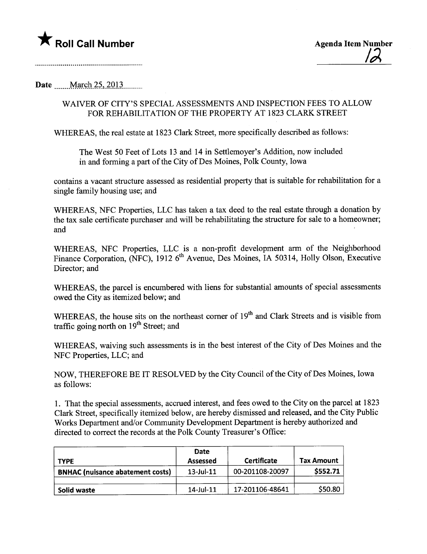

## Date March 25, 2013

## WAIVER OF CITY'S SPECIAL ASSESSMENTS AND INSPECTION FEES TO ALLOW FOR REHABILITATION OF THE PROPERTY AT 1823 CLARK STREET

WHEREAS, the real estate at 1823 Clark Street, more specifically described as follows:

The West 50 Feet of Lots 13 and 14 in Settlemoyer's Addition, now included in and forming a part of the City of Des Moines, Polk County, Iowa

contains a vacant structure assessed as residential property that is suitable for rehabiltation for a single family housing use; and

WHEREAS, NFC Properties, LLC has taken a tax deed to the real estate through a donation by the tax sale certificate purchaser and will be rehabilitating the structure for sale to a homeowner; and

WHEREAS, NFC Properties, LLC is a non-profit development arm of the Neighborhood Finance Corporation, (NFC), 1912 6<sup>th</sup> Avenue, Des Moines, IA 50314, Holly Olson, Executive Director; and

WHEREAS, the parcel is encumbered with liens for substantial amounts of special assessments owed the City as itemized below; and

WHEREAS, the house sits on the northeast corner of 19<sup>th</sup> and Clark Streets and is visible from traffic going north on  $19<sup>th</sup>$  Street; and

WHEREAS, waiving such assessments is in the best interest of the City of Des Moines and the NFC Properties, LLC; and

NOW, THEREFORE BE IT RESOLVED by the City Council of the City of Des Moines, Iowa as follows:

1. That the special assessments, accrued interest, and fees owed to the City on the parcel at 1823 Clark Street, specifically itemized below, are hereby dismissed and released, and the City Public Works Department and/or Community Development Department is hereby authorized and directed to correct the records at the Polk County Treasurer's Office:

| <b>TYPE</b>                             | Date<br><b>Assessed</b> | Certificate     | <b>Tax Amount</b> |
|-----------------------------------------|-------------------------|-----------------|-------------------|
| <b>BNHAC</b> (nuisance abatement costs) | $13$ -Jul- $11$         | 00-201108-20097 | \$552.71          |
| Solid waste                             | $14$ -Jul- $11$         | 17-201106-48641 | \$50.80           |